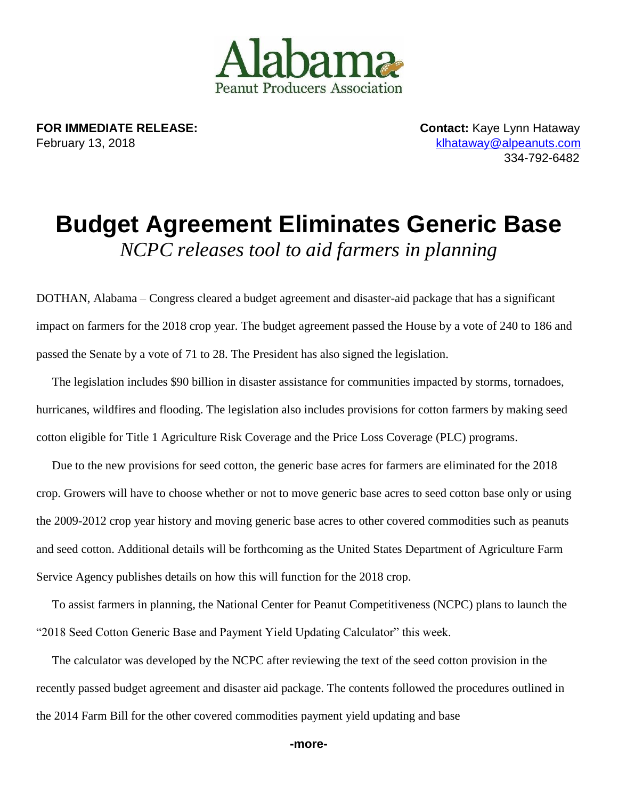

**FOR IMMEDIATE RELEASE: CONTACT: Kaye Lynn Hataway** February 13, 2018 [klhataway@alpeanuts.com](mailto:klhataway@alpeanuts.com)

334-792-6482

## **Budget Agreement Eliminates Generic Base** *NCPC releases tool to aid farmers in planning*

DOTHAN, Alabama – Congress cleared a budget agreement and disaster-aid package that has a significant impact on farmers for the 2018 crop year. The budget agreement passed the House by a vote of 240 to 186 and passed the Senate by a vote of 71 to 28. The President has also signed the legislation.

The legislation includes \$90 billion in disaster assistance for communities impacted by storms, tornadoes, hurricanes, wildfires and flooding. The legislation also includes provisions for cotton farmers by making seed cotton eligible for Title 1 Agriculture Risk Coverage and the Price Loss Coverage (PLC) programs.

Due to the new provisions for seed cotton, the generic base acres for farmers are eliminated for the 2018 crop. Growers will have to choose whether or not to move generic base acres to seed cotton base only or using the 2009-2012 crop year history and moving generic base acres to other covered commodities such as peanuts and seed cotton. Additional details will be forthcoming as the United States Department of Agriculture Farm Service Agency publishes details on how this will function for the 2018 crop.

To assist farmers in planning, the National Center for Peanut Competitiveness (NCPC) plans to launch the "2018 Seed Cotton Generic Base and Payment Yield Updating Calculator" this week.

The calculator was developed by the NCPC after reviewing the text of the seed cotton provision in the recently passed budget agreement and disaster aid package. The contents followed the procedures outlined in the 2014 Farm Bill for the other covered commodities payment yield updating and base